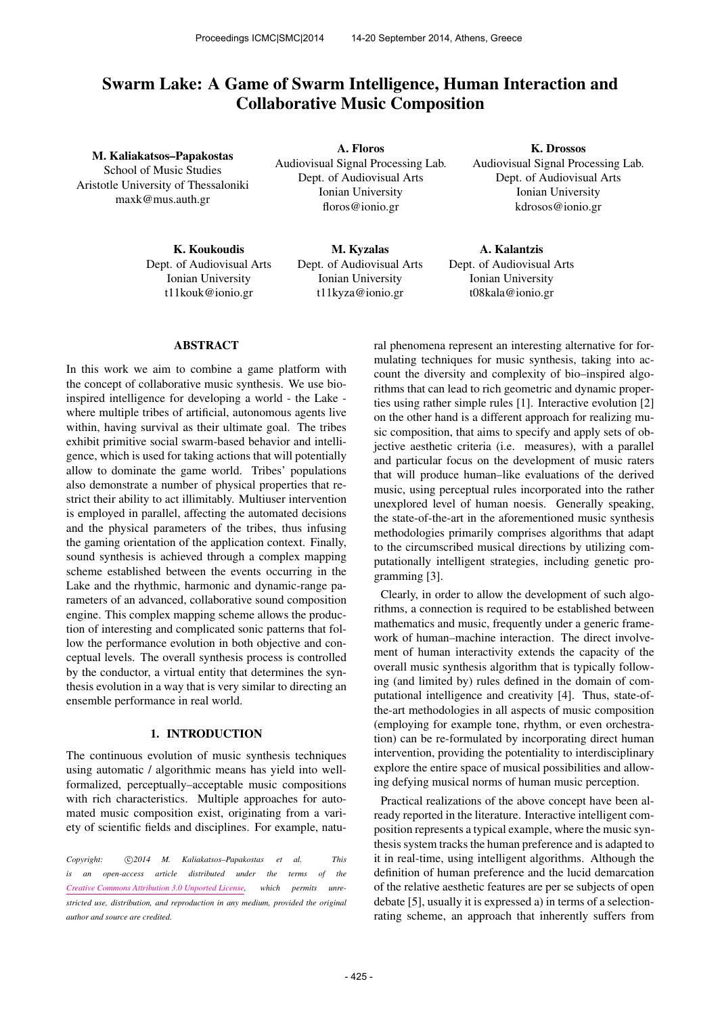# Swarm Lake: A Game of Swarm Intelligence, Human Interaction and Collaborative Music Composition

M. Kaliakatsos–Papakostas School of Music Studies Aristotle University of Thessaloniki [maxk@mus.auth.gr](mailto:maxk@mus.auth.gr)

> K. Koukoudis Dept. of Audiovisual Arts Ionian University [t11kouk@ionio.gr](mailto:t11kouk@ionio.gr)

A. Floros Audiovisual Signal Processing Lab. Dept. of Audiovisual Arts Ionian University [floros@ionio.gr](mailto:floros@ionio.gr)

> M. Kyzalas Dept. of Audiovisual Arts Ionian University [t11kyza@ionio.gr](mailto:t11kyza@ionio.gr)

K. Drossos Audiovisual Signal Processing Lab. Dept. of Audiovisual Arts Ionian University [kdrosos@ionio.gr](mailto:kdrosos@ionio.gr)

A. Kalantzis Dept. of Audiovisual Arts Ionian University [t08kala@ionio.gr](mailto:t08kala@ionio.gr)

### ABSTRACT

In this work we aim to combine a game platform with the concept of collaborative music synthesis. We use bioinspired intelligence for developing a world - the Lake where multiple tribes of artificial, autonomous agents live within, having survival as their ultimate goal. The tribes exhibit primitive social swarm-based behavior and intelligence, which is used for taking actions that will potentially allow to dominate the game world. Tribes' populations also demonstrate a number of physical properties that restrict their ability to act illimitably. Multiuser intervention is employed in parallel, affecting the automated decisions and the physical parameters of the tribes, thus infusing the gaming orientation of the application context. Finally, sound synthesis is achieved through a complex mapping scheme established between the events occurring in the Lake and the rhythmic, harmonic and dynamic-range parameters of an advanced, collaborative sound composition engine. This complex mapping scheme allows the production of interesting and complicated sonic patterns that follow the performance evolution in both objective and conceptual levels. The overall synthesis process is controlled by the conductor, a virtual entity that determines the synthesis evolution in a way that is very similar to directing an ensemble performance in real world.

# 1. INTRODUCTION

The continuous evolution of music synthesis techniques using automatic / algorithmic means has yield into wellformalized, perceptually–acceptable music compositions with rich characteristics. Multiple approaches for automated music composition exist, originating from a variety of scientific fields and disciplines. For example, natu-

Copyright:  $\bigcirc$ 2014 M. Kaliakatsos-Papakostas et al. This *is an open-access article distributed under the terms of the [Creative Commons Attribution 3.0 Unported License,](http://creativecommons.org/licenses/by/3.0/) which permits unrestricted use, distribution, and reproduction in any medium, provided the original author and source are credited.*

ral phenomena represent an interesting alternative for formulating techniques for music synthesis, taking into account the diversity and complexity of bio–inspired algorithms that can lead to rich geometric and dynamic properties using rather simple rules [1]. Interactive evolution [2] on the other hand is a different approach for realizing music composition, that aims to specify and apply sets of objective aesthetic criteria (i.e. measures), with a parallel and particular focus on the development of music raters that will produce human–like evaluations of the derived music, using perceptual rules incorporated into the rather unexplored level of human noesis. Generally speaking, the state-of-the-art in the aforementioned music synthesis methodologies primarily comprises algorithms that adapt to the circumscribed musical directions by utilizing computationally intelligent strategies, including genetic programming [3].

Clearly, in order to allow the development of such algorithms, a connection is required to be established between mathematics and music, frequently under a generic framework of human–machine interaction. The direct involvement of human interactivity extends the capacity of the overall music synthesis algorithm that is typically following (and limited by) rules defined in the domain of computational intelligence and creativity [4]. Thus, state-ofthe-art methodologies in all aspects of music composition (employing for example tone, rhythm, or even orchestration) can be re-formulated by incorporating direct human intervention, providing the potentiality to interdisciplinary explore the entire space of musical possibilities and allowing defying musical norms of human music perception.

Practical realizations of the above concept have been already reported in the literature. Interactive intelligent composition represents a typical example, where the music synthesis system tracks the human preference and is adapted to it in real-time, using intelligent algorithms. Although the definition of human preference and the lucid demarcation of the relative aesthetic features are per se subjects of open debate [5], usually it is expressed a) in terms of a selectionrating scheme, an approach that inherently suffers from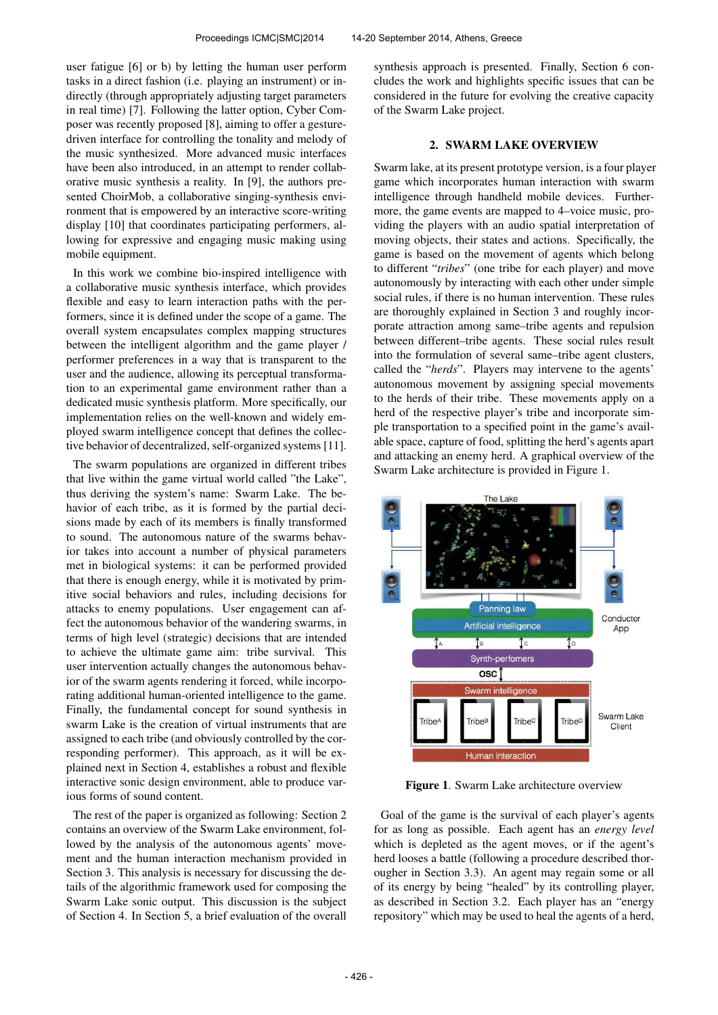user fatigue [6] or b) by letting the human user perform tasks in a direct fashion (i.e. playing an instrument) or indirectly (through appropriately adjusting target parameters in real time) [7]. Following the latter option, Cyber Composer was recently proposed [8], aiming to offer a gesturedriven interface for controlling the tonality and melody of the music synthesized. More advanced music interfaces have been also introduced, in an attempt to render collaborative music synthesis a reality. In [9], the authors presented ChoirMob, a collaborative singing-synthesis environment that is empowered by an interactive score-writing display [10] that coordinates participating performers, allowing for expressive and engaging music making using mobile equipment.

In this work we combine bio-inspired intelligence with a collaborative music synthesis interface, which provides flexible and easy to learn interaction paths with the performers, since it is defined under the scope of a game. The overall system encapsulates complex mapping structures between the intelligent algorithm and the game player / performer preferences in a way that is transparent to the user and the audience, allowing its perceptual transformation to an experimental game environment rather than a dedicated music synthesis platform. More specifically, our implementation relies on the well-known and widely employed swarm intelligence concept that defines the collective behavior of decentralized, self-organized systems [11].

The swarm populations are organized in different tribes that live within the game virtual world called "the Lake", thus deriving the system's name: Swarm Lake. The behavior of each tribe, as it is formed by the partial decisions made by each of its members is finally transformed to sound. The autonomous nature of the swarms behavior takes into account a number of physical parameters met in biological systems: it can be performed provided that there is enough energy, while it is motivated by primitive social behaviors and rules, including decisions for attacks to enemy populations. User engagement can affect the autonomous behavior of the wandering swarms, in terms of high level (strategic) decisions that are intended to achieve the ultimate game aim: tribe survival. This user intervention actually changes the autonomous behavior of the swarm agents rendering it forced, while incorporating additional human-oriented intelligence to the game. Finally, the fundamental concept for sound synthesis in swarm Lake is the creation of virtual instruments that are assigned to each tribe (and obviously controlled by the corresponding performer). This approach, as it will be explained next in Section 4, establishes a robust and flexible interactive sonic design environment, able to produce various forms of sound content.

The rest of the paper is organized as following: Section 2 contains an overview of the Swarm Lake environment, followed by the analysis of the autonomous agents' movement and the human interaction mechanism provided in Section 3. This analysis is necessary for discussing the details of the algorithmic framework used for composing the Swarm Lake sonic output. This discussion is the subject of Section 4. In Section 5, a brief evaluation of the overall synthesis approach is presented. Finally, Section 6 concludes the work and highlights specific issues that can be considered in the future for evolving the creative capacity of the Swarm Lake project.

### 2. SWARM LAKE OVERVIEW

Swarm lake, at its present prototype version, is a four player game which incorporates human interaction with swarm intelligence through handheld mobile devices. Furthermore, the game events are mapped to 4–voice music, providing the players with an audio spatial interpretation of moving objects, their states and actions. Specifically, the game is based on the movement of agents which belong to different "*tribes*" (one tribe for each player) and move autonomously by interacting with each other under simple social rules, if there is no human intervention. These rules are thoroughly explained in Section 3 and roughly incorporate attraction among same–tribe agents and repulsion between different–tribe agents. These social rules result into the formulation of several same–tribe agent clusters, called the "*herds*". Players may intervene to the agents' autonomous movement by assigning special movements to the herds of their tribe. These movements apply on a herd of the respective player's tribe and incorporate simple transportation to a specified point in the game's available space, capture of food, splitting the herd's agents apart and attacking an enemy herd. A graphical overview of the Swarm Lake architecture is provided in Figure 1.



Figure 1. Swarm Lake architecture overview

Goal of the game is the survival of each player's agents for as long as possible. Each agent has an *energy level* which is depleted as the agent moves, or if the agent's herd looses a battle (following a procedure described thorougher in Section 3.3). An agent may regain some or all of its energy by being "healed" by its controlling player, as described in Section 3.2. Each player has an "energy repository" which may be used to heal the agents of a herd,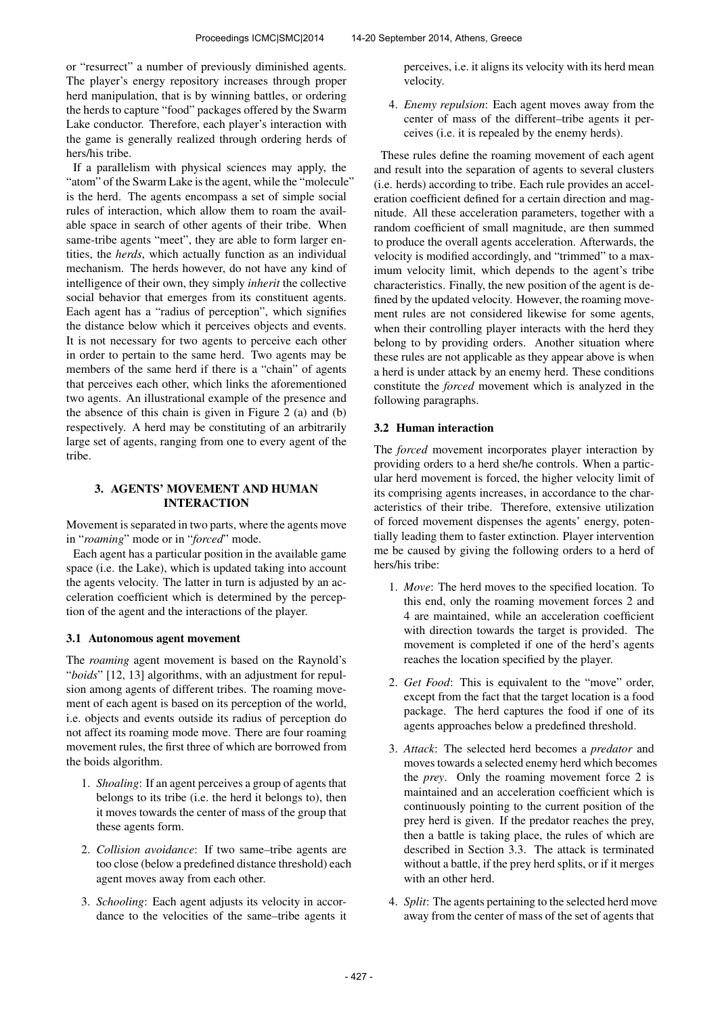or "resurrect" a number of previously diminished agents. The player's energy repository increases through proper herd manipulation, that is by winning battles, or ordering the herds to capture "food" packages offered by the Swarm Lake conductor. Therefore, each player's interaction with the game is generally realized through ordering herds of hers/his tribe.

If a parallelism with physical sciences may apply, the "atom" of the Swarm Lake is the agent, while the "molecule" is the herd. The agents encompass a set of simple social rules of interaction, which allow them to roam the available space in search of other agents of their tribe. When same-tribe agents "meet", they are able to form larger entities, the *herds*, which actually function as an individual mechanism. The herds however, do not have any kind of intelligence of their own, they simply *inherit* the collective social behavior that emerges from its constituent agents. Each agent has a "radius of perception", which signifies the distance below which it perceives objects and events. It is not necessary for two agents to perceive each other in order to pertain to the same herd. Two agents may be members of the same herd if there is a "chain" of agents that perceives each other, which links the aforementioned two agents. An illustrational example of the presence and the absence of this chain is given in Figure 2 (a) and (b) respectively. A herd may be constituting of an arbitrarily large set of agents, ranging from one to every agent of the tribe.

# 3. AGENTS' MOVEMENT AND HUMAN INTERACTION

Movement is separated in two parts, where the agents move in "*roaming*" mode or in "*forced*" mode.

Each agent has a particular position in the available game space (i.e. the Lake), which is updated taking into account the agents velocity. The latter in turn is adjusted by an acceleration coefficient which is determined by the perception of the agent and the interactions of the player.

# 3.1 Autonomous agent movement

The *roaming* agent movement is based on the Raynold's "*boids*" [12, 13] algorithms, with an adjustment for repulsion among agents of different tribes. The roaming movement of each agent is based on its perception of the world, i.e. objects and events outside its radius of perception do not affect its roaming mode move. There are four roaming movement rules, the first three of which are borrowed from the boids algorithm.

- 1. *Shoaling*: If an agent perceives a group of agents that belongs to its tribe (i.e. the herd it belongs to), then it moves towards the center of mass of the group that these agents form.
- 2. *Collision avoidance*: If two same–tribe agents are too close (below a predefined distance threshold) each agent moves away from each other.
- 3. *Schooling*: Each agent adjusts its velocity in accordance to the velocities of the same–tribe agents it

perceives, i.e. it aligns its velocity with its herd mean velocity.

4. *Enemy repulsion*: Each agent moves away from the center of mass of the different–tribe agents it perceives (i.e. it is repealed by the enemy herds).

These rules define the roaming movement of each agent and result into the separation of agents to several clusters (i.e. herds) according to tribe. Each rule provides an acceleration coefficient defined for a certain direction and magnitude. All these acceleration parameters, together with a random coefficient of small magnitude, are then summed to produce the overall agents acceleration. Afterwards, the velocity is modified accordingly, and "trimmed" to a maximum velocity limit, which depends to the agent's tribe characteristics. Finally, the new position of the agent is defined by the updated velocity. However, the roaming movement rules are not considered likewise for some agents, when their controlling player interacts with the herd they belong to by providing orders. Another situation where these rules are not applicable as they appear above is when a herd is under attack by an enemy herd. These conditions constitute the *forced* movement which is analyzed in the following paragraphs.

# 3.2 Human interaction

The *forced* movement incorporates player interaction by providing orders to a herd she/he controls. When a particular herd movement is forced, the higher velocity limit of its comprising agents increases, in accordance to the characteristics of their tribe. Therefore, extensive utilization of forced movement dispenses the agents' energy, potentially leading them to faster extinction. Player intervention me be caused by giving the following orders to a herd of hers/his tribe:

- 1. *Move*: The herd moves to the specified location. To this end, only the roaming movement forces 2 and 4 are maintained, while an acceleration coefficient with direction towards the target is provided. The movement is completed if one of the herd's agents reaches the location specified by the player.
- 2. *Get Food*: This is equivalent to the "move" order, except from the fact that the target location is a food package. The herd captures the food if one of its agents approaches below a predefined threshold.
- 3. *Attack*: The selected herd becomes a *predator* and moves towards a selected enemy herd which becomes the *prey*. Only the roaming movement force 2 is maintained and an acceleration coefficient which is continuously pointing to the current position of the prey herd is given. If the predator reaches the prey, then a battle is taking place, the rules of which are described in Section 3.3. The attack is terminated without a battle, if the prey herd splits, or if it merges with an other herd.
- 4. *Split*: The agents pertaining to the selected herd move away from the center of mass of the set of agents that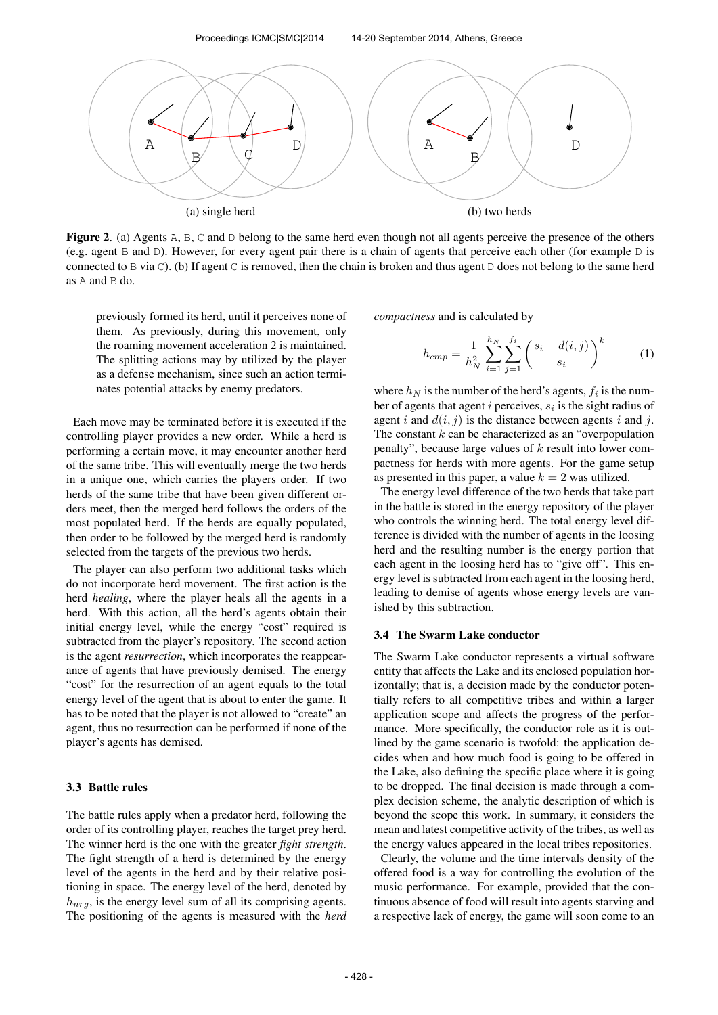

Figure 2. (a) Agents A, B, C and D belong to the same herd even though not all agents perceive the presence of the others (e.g. agent B and D). However, for every agent pair there is a chain of agents that perceive each other (for example D is connected to B via C). (b) If agent C is removed, then the chain is broken and thus agent D does not belong to the same herd as A and B do.

previously formed its herd, until it perceives none of them. As previously, during this movement, only the roaming movement acceleration 2 is maintained. The splitting actions may by utilized by the player as a defense mechanism, since such an action terminates potential attacks by enemy predators.

Each move may be terminated before it is executed if the controlling player provides a new order. While a herd is performing a certain move, it may encounter another herd of the same tribe. This will eventually merge the two herds in a unique one, which carries the players order. If two herds of the same tribe that have been given different orders meet, then the merged herd follows the orders of the most populated herd. If the herds are equally populated, then order to be followed by the merged herd is randomly selected from the targets of the previous two herds.

The player can also perform two additional tasks which do not incorporate herd movement. The first action is the herd *healing*, where the player heals all the agents in a herd. With this action, all the herd's agents obtain their initial energy level, while the energy "cost" required is subtracted from the player's repository. The second action is the agent *resurrection*, which incorporates the reappearance of agents that have previously demised. The energy "cost" for the resurrection of an agent equals to the total energy level of the agent that is about to enter the game. It has to be noted that the player is not allowed to "create" an agent, thus no resurrection can be performed if none of the player's agents has demised.

## 3.3 Battle rules

The battle rules apply when a predator herd, following the order of its controlling player, reaches the target prey herd. The winner herd is the one with the greater *fight strength*. The fight strength of a herd is determined by the energy level of the agents in the herd and by their relative positioning in space. The energy level of the herd, denoted by  $h_{nrg}$ , is the energy level sum of all its comprising agents. The positioning of the agents is measured with the *herd* *compactness* and is calculated by

$$
h_{cmp} = \frac{1}{h_N^2} \sum_{i=1}^{h_N} \sum_{j=1}^{f_i} \left( \frac{s_i - d(i,j)}{s_i} \right)^k \tag{1}
$$

where  $h_N$  is the number of the herd's agents,  $f_i$  is the number of agents that agent i perceives,  $s_i$  is the sight radius of agent i and  $d(i, j)$  is the distance between agents i and j. The constant  $k$  can be characterized as an "overpopulation" penalty", because large values of  $k$  result into lower compactness for herds with more agents. For the game setup as presented in this paper, a value  $k = 2$  was utilized.

The energy level difference of the two herds that take part in the battle is stored in the energy repository of the player who controls the winning herd. The total energy level difference is divided with the number of agents in the loosing herd and the resulting number is the energy portion that each agent in the loosing herd has to "give off". This energy level is subtracted from each agent in the loosing herd, leading to demise of agents whose energy levels are vanished by this subtraction.

#### 3.4 The Swarm Lake conductor

The Swarm Lake conductor represents a virtual software entity that affects the Lake and its enclosed population horizontally; that is, a decision made by the conductor potentially refers to all competitive tribes and within a larger application scope and affects the progress of the performance. More specifically, the conductor role as it is outlined by the game scenario is twofold: the application decides when and how much food is going to be offered in the Lake, also defining the specific place where it is going to be dropped. The final decision is made through a complex decision scheme, the analytic description of which is beyond the scope this work. In summary, it considers the mean and latest competitive activity of the tribes, as well as the energy values appeared in the local tribes repositories.

Clearly, the volume and the time intervals density of the offered food is a way for controlling the evolution of the music performance. For example, provided that the continuous absence of food will result into agents starving and a respective lack of energy, the game will soon come to an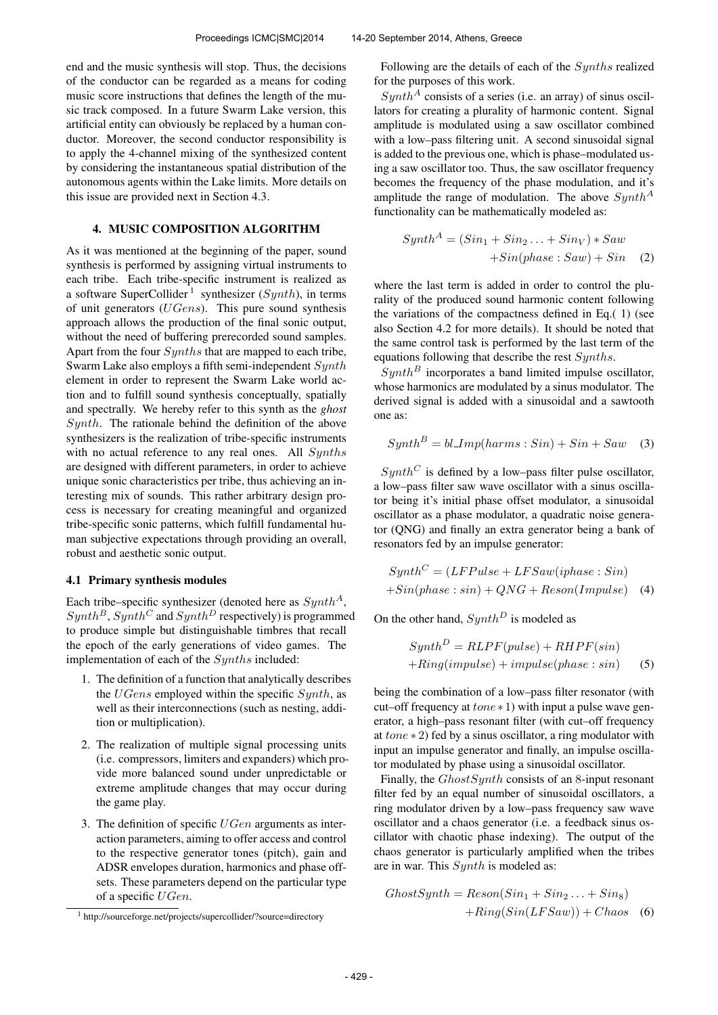end and the music synthesis will stop. Thus, the decisions of the conductor can be regarded as a means for coding music score instructions that defines the length of the music track composed. In a future Swarm Lake version, this artificial entity can obviously be replaced by a human conductor. Moreover, the second conductor responsibility is to apply the 4-channel mixing of the synthesized content by considering the instantaneous spatial distribution of the autonomous agents within the Lake limits. More details on this issue are provided next in Section 4.3.

# 4. MUSIC COMPOSITION ALGORITHM

As it was mentioned at the beginning of the paper, sound synthesis is performed by assigning virtual instruments to each tribe. Each tribe-specific instrument is realized as a software SuperCollider<sup>1</sup> synthesizer ( $Synth$ ), in terms of unit generators (UGens). This pure sound synthesis approach allows the production of the final sonic output, without the need of buffering prerecorded sound samples. Apart from the four Synths that are mapped to each tribe, Swarm Lake also employs a fifth semi-independent Synth element in order to represent the Swarm Lake world action and to fulfill sound synthesis conceptually, spatially and spectrally. We hereby refer to this synth as the *ghost*  $Synth$ . The rationale behind the definition of the above synthesizers is the realization of tribe-specific instruments with no actual reference to any real ones. All Synths are designed with different parameters, in order to achieve unique sonic characteristics per tribe, thus achieving an interesting mix of sounds. This rather arbitrary design process is necessary for creating meaningful and organized tribe-specific sonic patterns, which fulfill fundamental human subjective expectations through providing an overall, robust and aesthetic sonic output.

### 4.1 Primary synthesis modules

Each tribe–specific synthesizer (denoted here as  $Synth^A$ ,  $Synth^B$ ,  $Synth^C$  and  $Synth^D$  respectively) is programmed to produce simple but distinguishable timbres that recall the epoch of the early generations of video games. The implementation of each of the Synths included:

- 1. The definition of a function that analytically describes the  $UGens$  employed within the specific  $Synth$ , as well as their interconnections (such as nesting, addition or multiplication).
- 2. The realization of multiple signal processing units (i.e. compressors, limiters and expanders) which provide more balanced sound under unpredictable or extreme amplitude changes that may occur during the game play.
- 3. The definition of specific  $UGen$  arguments as interaction parameters, aiming to offer access and control to the respective generator tones (pitch), gain and ADSR envelopes duration, harmonics and phase offsets. These parameters depend on the particular type of a specific UGen.

Following are the details of each of the Synths realized for the purposes of this work.

 $Synth^A$  consists of a series (i.e. an array) of sinus oscillators for creating a plurality of harmonic content. Signal amplitude is modulated using a saw oscillator combined with a low–pass filtering unit. A second sinusoidal signal is added to the previous one, which is phase–modulated using a saw oscillator too. Thus, the saw oscillator frequency becomes the frequency of the phase modulation, and it's amplitude the range of modulation. The above  $Synth^A$ functionality can be mathematically modeled as:

$$
SynthA = (Sin1 + Sin2 ... + SinV) * Saw + Sin(phase : Saw) + Sin (2)
$$

where the last term is added in order to control the plurality of the produced sound harmonic content following the variations of the compactness defined in Eq.( 1) (see also Section 4.2 for more details). It should be noted that the same control task is performed by the last term of the equations following that describe the rest Synths.

 $Synth^B$  incorporates a band limited impulse oscillator, whose harmonics are modulated by a sinus modulator. The derived signal is added with a sinusoidal and a sawtooth one as:

$$
Synth^B = bl\_\_Imp(harms: Sin) + Sin + Saw \quad (3)
$$

 $Synth^C$  is defined by a low–pass filter pulse oscillator, a low–pass filter saw wave oscillator with a sinus oscillator being it's initial phase offset modulator, a sinusoidal oscillator as a phase modulator, a quadratic noise generator (QNG) and finally an extra generator being a bank of resonators fed by an impulse generator:

$$
SynthC = (LFPulse + LFSaw (iphase : Sin)
$$

$$
+Sin(phase : sin) + QNG + Reson(Impulse)
$$
 (4)

On the other hand,  $Synth^D$  is modeled as

$$
SynthD = RLPF(pulse) + RHPF(sin)+Ring(impulse) + impulse(phase: sin)
$$
 (5)

being the combination of a low–pass filter resonator (with cut–off frequency at  $tone * 1$ ) with input a pulse wave generator, a high–pass resonant filter (with cut–off frequency at tone ∗ 2) fed by a sinus oscillator, a ring modulator with input an impulse generator and finally, an impulse oscillator modulated by phase using a sinusoidal oscillator.

Finally, the *GhostSynth* consists of an 8-input resonant filter fed by an equal number of sinusoidal oscillators, a ring modulator driven by a low–pass frequency saw wave oscillator and a chaos generator (i.e. a feedback sinus oscillator with chaotic phase indexing). The output of the chaos generator is particularly amplified when the tribes are in war. This Synth is modeled as:

$$
GhostSynth = Reson(Sin1 + Sin2... + Sin8)
$$

$$
+ Ring(Sin(LFSaw)) + Chaos \quad (6)
$$

<sup>&</sup>lt;sup>1</sup> http://sourceforge.net/projects/supercollider/?source=directory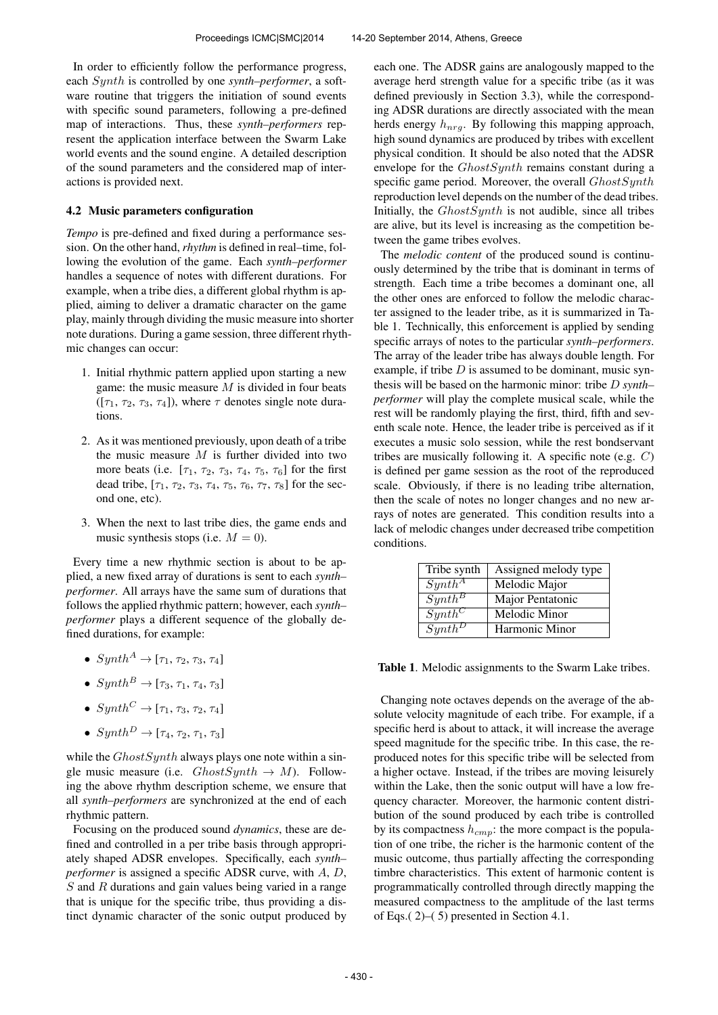In order to efficiently follow the performance progress, each Synth is controlled by one *synth–performer*, a software routine that triggers the initiation of sound events with specific sound parameters, following a pre-defined map of interactions. Thus, these *synth–performers* represent the application interface between the Swarm Lake world events and the sound engine. A detailed description of the sound parameters and the considered map of interactions is provided next.

## 4.2 Music parameters configuration

*Tempo* is pre-defined and fixed during a performance session. On the other hand, *rhythm* is defined in real–time, following the evolution of the game. Each *synth–performer* handles a sequence of notes with different durations. For example, when a tribe dies, a different global rhythm is applied, aiming to deliver a dramatic character on the game play, mainly through dividing the music measure into shorter note durations. During a game session, three different rhythmic changes can occur:

- 1. Initial rhythmic pattern applied upon starting a new game: the music measure  $M$  is divided in four beats  $([\tau_1, \tau_2, \tau_3, \tau_4])$ , where  $\tau$  denotes single note durations.
- 2. As it was mentioned previously, upon death of a tribe the music measure  $M$  is further divided into two more beats (i.e.  $[\tau_1, \tau_2, \tau_3, \tau_4, \tau_5, \tau_6]$  for the first dead tribe,  $[\tau_1, \tau_2, \tau_3, \tau_4, \tau_5, \tau_6, \tau_7, \tau_8]$  for the second one, etc).
- 3. When the next to last tribe dies, the game ends and music synthesis stops (i.e.  $M = 0$ ).

Every time a new rhythmic section is about to be applied, a new fixed array of durations is sent to each *synth– performer*. All arrays have the same sum of durations that follows the applied rhythmic pattern; however, each *synth– performer* plays a different sequence of the globally defined durations, for example:

- $Synth^A \rightarrow [\tau_1, \tau_2, \tau_3, \tau_4]$
- $Sunth^B \rightarrow [\tau_3, \tau_1, \tau_4, \tau_3]$
- $Synth^C \rightarrow [\tau_1, \tau_3, \tau_2, \tau_4]$
- $Synth^D \rightarrow [\tau_4, \tau_2, \tau_1, \tau_3]$

while the  $GhostSynth$  always plays one note within a single music measure (i.e.  $ChostSynth \rightarrow M$ ). Following the above rhythm description scheme, we ensure that all *synth–performers* are synchronized at the end of each rhythmic pattern.

Focusing on the produced sound *dynamics*, these are defined and controlled in a per tribe basis through appropriately shaped ADSR envelopes. Specifically, each *synth– performer* is assigned a specific ADSR curve, with A, D, S and R durations and gain values being varied in a range that is unique for the specific tribe, thus providing a distinct dynamic character of the sonic output produced by each one. The ADSR gains are analogously mapped to the average herd strength value for a specific tribe (as it was defined previously in Section 3.3), while the corresponding ADSR durations are directly associated with the mean herds energy  $h_{nrg}$ . By following this mapping approach, high sound dynamics are produced by tribes with excellent physical condition. It should be also noted that the ADSR envelope for the *GhostSynth* remains constant during a specific game period. Moreover, the overall GhostSynth reproduction level depends on the number of the dead tribes. Initially, the  $GhostSynth$  is not audible, since all tribes are alive, but its level is increasing as the competition between the game tribes evolves.

The *melodic content* of the produced sound is continuously determined by the tribe that is dominant in terms of strength. Each time a tribe becomes a dominant one, all the other ones are enforced to follow the melodic character assigned to the leader tribe, as it is summarized in Table 1. Technically, this enforcement is applied by sending specific arrays of notes to the particular *synth–performers*. The array of the leader tribe has always double length. For example, if tribe  $D$  is assumed to be dominant, music synthesis will be based on the harmonic minor: tribe D *synth– performer* will play the complete musical scale, while the rest will be randomly playing the first, third, fifth and seventh scale note. Hence, the leader tribe is perceived as if it executes a music solo session, while the rest bondservant tribes are musically following it. A specific note (e.g.  $C$ ) is defined per game session as the root of the reproduced scale. Obviously, if there is no leading tribe alternation, then the scale of notes no longer changes and no new arrays of notes are generated. This condition results into a lack of melodic changes under decreased tribe competition conditions.

| Tribe synth | Assigned melody type |
|-------------|----------------------|
| $Synth^A$   | Melodic Major        |
| $Synth^B$   | Major Pentatonic     |
| $Synth^C$   | Melodic Minor        |
| $Symth^D$   | Harmonic Minor       |

Table 1. Melodic assignments to the Swarm Lake tribes.

Changing note octaves depends on the average of the absolute velocity magnitude of each tribe. For example, if a specific herd is about to attack, it will increase the average speed magnitude for the specific tribe. In this case, the reproduced notes for this specific tribe will be selected from a higher octave. Instead, if the tribes are moving leisurely within the Lake, then the sonic output will have a low frequency character. Moreover, the harmonic content distribution of the sound produced by each tribe is controlled by its compactness  $h_{cmp}$ : the more compact is the population of one tribe, the richer is the harmonic content of the music outcome, thus partially affecting the corresponding timbre characteristics. This extent of harmonic content is programmatically controlled through directly mapping the measured compactness to the amplitude of the last terms of Eqs.( 2)–( 5) presented in Section 4.1.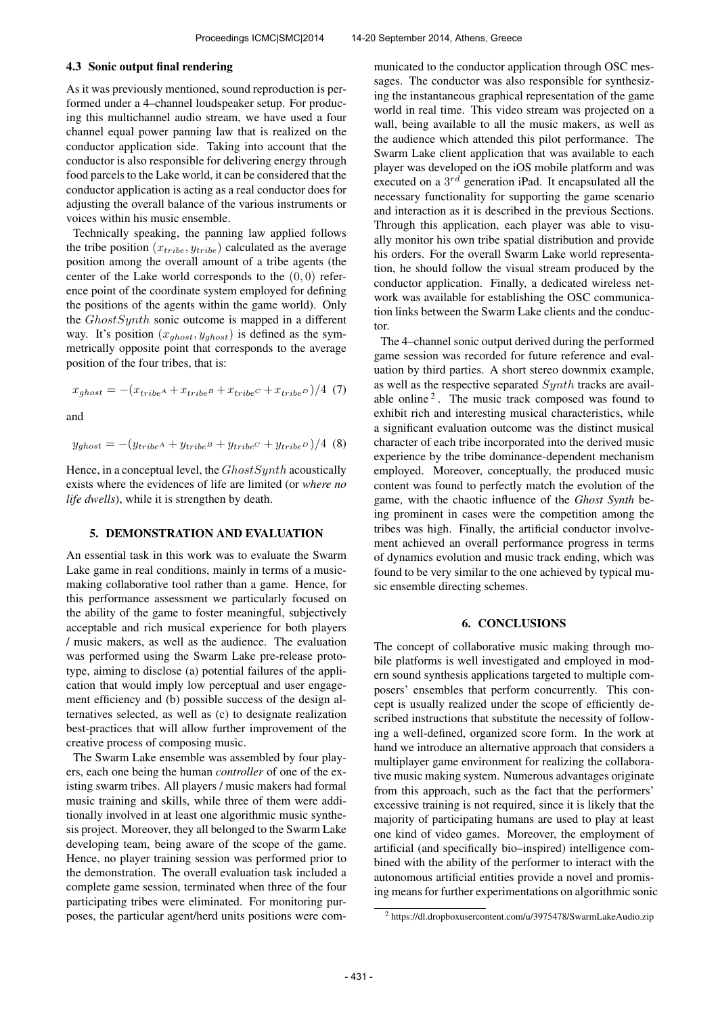#### 4.3 Sonic output final rendering

As it was previously mentioned, sound reproduction is performed under a 4–channel loudspeaker setup. For producing this multichannel audio stream, we have used a four channel equal power panning law that is realized on the conductor application side. Taking into account that the conductor is also responsible for delivering energy through food parcels to the Lake world, it can be considered that the conductor application is acting as a real conductor does for adjusting the overall balance of the various instruments or voices within his music ensemble.

Technically speaking, the panning law applied follows the tribe position  $(x_{tribe}, y_{tribe})$  calculated as the average position among the overall amount of a tribe agents (the center of the Lake world corresponds to the  $(0, 0)$  reference point of the coordinate system employed for defining the positions of the agents within the game world). Only the GhostSynth sonic outcome is mapped in a different way. It's position  $(x_{ghost}, y_{ghost})$  is defined as the symmetrically opposite point that corresponds to the average position of the four tribes, that is:

$$
x_{ghost} = -(x_{tribeA} + x_{tribeB} + x_{tribeC} + x_{tribeD})/4
$$
 (7)

and

$$
y_{ghost} = -(y_{tribe^A} + y_{tribe^B} + y_{tribe^C} + y_{tribe^D})/4
$$
 (8)

Hence, in a conceptual level, the  $GhostSynth$  acoustically exists where the evidences of life are limited (or *where no life dwells*), while it is strengthen by death.

# 5. DEMONSTRATION AND EVALUATION

An essential task in this work was to evaluate the Swarm Lake game in real conditions, mainly in terms of a musicmaking collaborative tool rather than a game. Hence, for this performance assessment we particularly focused on the ability of the game to foster meaningful, subjectively acceptable and rich musical experience for both players / music makers, as well as the audience. The evaluation was performed using the Swarm Lake pre-release prototype, aiming to disclose (a) potential failures of the application that would imply low perceptual and user engagement efficiency and (b) possible success of the design alternatives selected, as well as (c) to designate realization best-practices that will allow further improvement of the creative process of composing music.

The Swarm Lake ensemble was assembled by four players, each one being the human *controller* of one of the existing swarm tribes. All players / music makers had formal music training and skills, while three of them were additionally involved in at least one algorithmic music synthesis project. Moreover, they all belonged to the Swarm Lake developing team, being aware of the scope of the game. Hence, no player training session was performed prior to the demonstration. The overall evaluation task included a complete game session, terminated when three of the four participating tribes were eliminated. For monitoring purposes, the particular agent/herd units positions were communicated to the conductor application through OSC messages. The conductor was also responsible for synthesizing the instantaneous graphical representation of the game world in real time. This video stream was projected on a wall, being available to all the music makers, as well as the audience which attended this pilot performance. The Swarm Lake client application that was available to each player was developed on the iOS mobile platform and was executed on a  $3^{rd}$  generation iPad. It encapsulated all the necessary functionality for supporting the game scenario and interaction as it is described in the previous Sections. Through this application, each player was able to visually monitor his own tribe spatial distribution and provide his orders. For the overall Swarm Lake world representation, he should follow the visual stream produced by the conductor application. Finally, a dedicated wireless network was available for establishing the OSC communication links between the Swarm Lake clients and the conductor.

The 4–channel sonic output derived during the performed game session was recorded for future reference and evaluation by third parties. A short stereo downmix example, as well as the respective separated Synth tracks are available online<sup>2</sup>. The music track composed was found to exhibit rich and interesting musical characteristics, while a significant evaluation outcome was the distinct musical character of each tribe incorporated into the derived music experience by the tribe dominance-dependent mechanism employed. Moreover, conceptually, the produced music content was found to perfectly match the evolution of the game, with the chaotic influence of the *Ghost Synth* being prominent in cases were the competition among the tribes was high. Finally, the artificial conductor involvement achieved an overall performance progress in terms of dynamics evolution and music track ending, which was found to be very similar to the one achieved by typical music ensemble directing schemes.

### 6. CONCLUSIONS

The concept of collaborative music making through mobile platforms is well investigated and employed in modern sound synthesis applications targeted to multiple composers' ensembles that perform concurrently. This concept is usually realized under the scope of efficiently described instructions that substitute the necessity of following a well-defined, organized score form. In the work at hand we introduce an alternative approach that considers a multiplayer game environment for realizing the collaborative music making system. Numerous advantages originate from this approach, such as the fact that the performers' excessive training is not required, since it is likely that the majority of participating humans are used to play at least one kind of video games. Moreover, the employment of artificial (and specifically bio–inspired) intelligence combined with the ability of the performer to interact with the autonomous artificial entities provide a novel and promising means for further experimentations on algorithmic sonic

<sup>2</sup> https://dl.dropboxusercontent.com/u/3975478/SwarmLakeAudio.zip